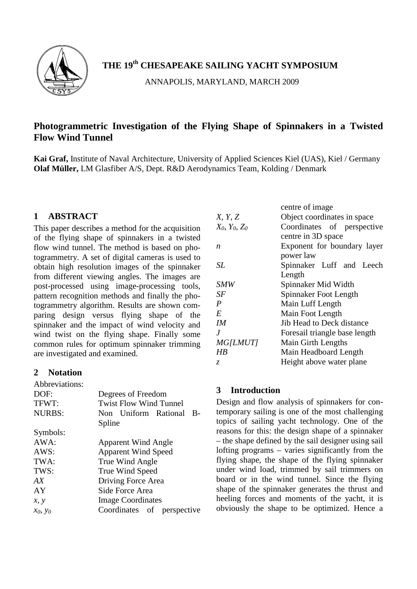

# **THE 19th CHESAPEAKE SAILING YACHT SYMPOSIUM**

ANNAPOLIS, MARYLAND, MARCH 2009

# **Photogrammetric Investigation of the Flying Shape of Spinnakers in a Twisted Flow Wind Tunnel**

**Kai Graf,** Institute of Naval Architecture, University of Applied Sciences Kiel (UAS), Kiel / Germany **Olaf Müller,** LM Glasfiber A/S, Dept. R&D Aerodynamics Team, Kolding / Denmark

# **1 ABSTRACT**

This paper describes a method for the acquisition of the flying shape of spinnakers in a twisted flow wind tunnel. The method is based on photogrammetry. A set of digital cameras is used to obtain high resolution images of the spinnaker from different viewing angles. The images are post-processed using image-processing tools, pattern recognition methods and finally the photogrammetry algorithm. Results are shown comparing design versus flying shape of the spinnaker and the impact of wind velocity and wind twist on the flying shape. Finally some common rules for optimum spinnaker trimming are investigated and examined.

# **2 Notation**

| Abbreviations: |                               |  |
|----------------|-------------------------------|--|
| DOF:           | Degrees of Freedom            |  |
| TFWT:          | <b>Twist Flow Wind Tunnel</b> |  |
| <b>NURBS:</b>  | Non Uniform Rational<br>-B    |  |
|                | Spline                        |  |
| Symbols:       |                               |  |
| AWA:           | <b>Apparent Wind Angle</b>    |  |
| AWS:           | <b>Apparent Wind Speed</b>    |  |
| TWA:           | True Wind Angle               |  |
| TWS:           | True Wind Speed               |  |
| AX             | Driving Force Area            |  |
| AY             | Side Force Area               |  |
| x, y           | <b>Image Coordinates</b>      |  |
| $x_0, y_0$     | Coordinates of perspective    |  |
|                |                               |  |

| centre of image               |
|-------------------------------|
| Object coordinates in space   |
| Coordinates of perspective    |
| centre in 3D space            |
| Exponent for boundary layer   |
| power law                     |
| Spinnaker Luff and Leech      |
| Length                        |
| Spinnaker Mid Width           |
| Spinnaker Foot Length         |
| Main Luff Length              |
| Main Foot Length              |
| Jib Head to Deck distance     |
| Foresail triangle base length |
| Main Girth Lengths            |
| Main Headboard Length         |
| Height above water plane      |
|                               |

# **3 Introduction**

Design and flow analysis of spinnakers for contemporary sailing is one of the most challenging topics of sailing yacht technology. One of the reasons for this: the design shape of a spinnaker – the shape defined by the sail designer using sail lofting programs – varies significantly from the flying shape, the shape of the flying spinnaker under wind load, trimmed by sail trimmers on board or in the wind tunnel. Since the flying shape of the spinnaker generates the thrust and heeling forces and moments of the yacht, it is obviously the shape to be optimized. Hence a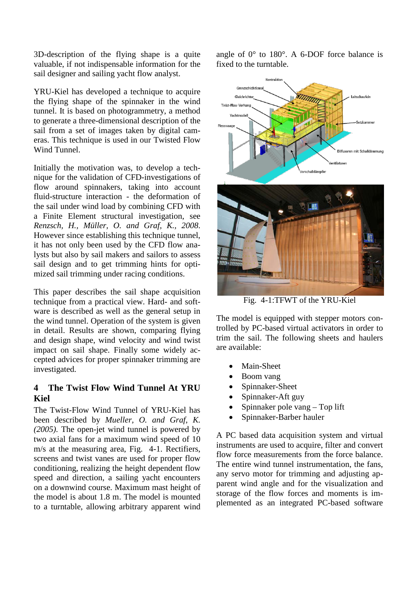3D-description of the flying shape is a quite valuable, if not indispensable information for the sail designer and sailing yacht flow analyst.

YRU-Kiel has developed a technique to acquire the flying shape of the spinnaker in the wind tunnel. It is based on photogrammetry, a method to generate a three-dimensional description of the sail from a set of images taken by digital cameras. This technique is used in our Twisted Flow Wind Tunnel.

Initially the motivation was, to develop a technique for the validation of CFD-investigations of flow around spinnakers, taking into account fluid-structure interaction - the deformation of the sail under wind load by combining CFD with a Finite Element structural investigation, see *Renzsch, H., Müller, O. and Graf, K., 2008*. However since establishing this technique tunnel, it has not only been used by the CFD flow analysts but also by sail makers and sailors to assess sail design and to get trimming hints for optimized sail trimming under racing conditions.

This paper describes the sail shape acquisition technique from a practical view. Hard- and software is described as well as the general setup in the wind tunnel. Operation of the system is given in detail. Results are shown, comparing flying and design shape, wind velocity and wind twist impact on sail shape. Finally some widely accepted advices for proper spinnaker trimming are investigated.

# **4 The Twist Flow Wind Tunnel At YRU Kiel**

The Twist-Flow Wind Tunnel of YRU-Kiel has been described by *Mueller, O. and Graf, K. (2005).* The open-jet wind tunnel is powered by two axial fans for a maximum wind speed of 10 m/s at the measuring area, [Fig. 4-1.](#page-1-0) Rectifiers, screens and twist vanes are used for proper flow conditioning, realizing the height dependent flow speed and direction, a sailing yacht encounters on a downwind course. Maximum mast height of the model is about 1.8 m. The model is mounted to a turntable, allowing arbitrary apparent wind angle of 0° to 180°. A 6-DOF force balance is fixed to the turntable.



Fig. 4-1:TFWT of the YRU-Kiel

<span id="page-1-0"></span>The model is equipped with stepper motors controlled by PC-based virtual activators in order to trim the sail. The following sheets and haulers are available:

- Main-Sheet
- Boom vang
- Spinnaker-Sheet
- Spinnaker-Aft guy
- Spinnaker pole vang Top lift
- Spinnaker-Barber hauler

A PC based data acquisition system and virtual instruments are used to acquire, filter and convert flow force measurements from the force balance. The entire wind tunnel instrumentation, the fans, any servo motor for trimming and adjusting apparent wind angle and for the visualization and storage of the flow forces and moments is implemented as an integrated PC-based software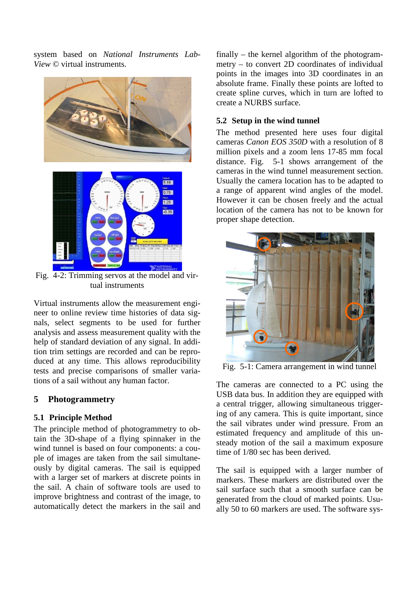system based on *National Instruments Lab-View* © virtual instruments.



Fig. 4-2: Trimming servos at the model and virtual instruments

Virtual instruments allow the measurement engineer to online review time histories of data signals, select segments to be used for further analysis and assess measurement quality with the help of standard deviation of any signal. In addition trim settings are recorded and can be reproduced at any time. This allows reproducibility tests and precise comparisons of smaller variations of a sail without any human factor.

#### **5 Photogrammetry**

#### **5.1 Principle Method**

The principle method of photogrammetry to obtain the 3D-shape of a flying spinnaker in the wind tunnel is based on four components: a couple of images are taken from the sail simultaneously by digital cameras. The sail is equipped with a larger set of markers at discrete points in the sail. A chain of software tools are used to improve brightness and contrast of the image, to automatically detect the markers in the sail and finally – the kernel algorithm of the photogrammetry – to convert 2D coordinates of individual points in the images into 3D coordinates in an absolute frame. Finally these points are lofted to create spline curves, which in turn are lofted to create a NURBS surface.

#### **5.2 Setup in the wind tunnel**

The method presented here uses four digital cameras *Canon EOS 350D* with a resolution of 8 million pixels and a zoom lens 17-85 mm focal distance. [Fig. 5-1](#page-2-0) shows arrangement of the cameras in the wind tunnel measurement section. Usually the camera location has to be adapted to a range of apparent wind angles of the model. However it can be chosen freely and the actual location of the camera has not to be known for proper shape detection.



Fig. 5-1: Camera arrangement in wind tunnel

<span id="page-2-0"></span>The cameras are connected to a PC using the USB data bus. In addition they are equipped with a central trigger, allowing simultaneous triggering of any camera. This is quite important, since the sail vibrates under wind pressure. From an estimated frequency and amplitude of this unsteady motion of the sail a maximum exposure time of 1/80 sec has been derived.

The sail is equipped with a larger number of markers. These markers are distributed over the sail surface such that a smooth surface can be generated from the cloud of marked points. Usually 50 to 60 markers are used. The software sys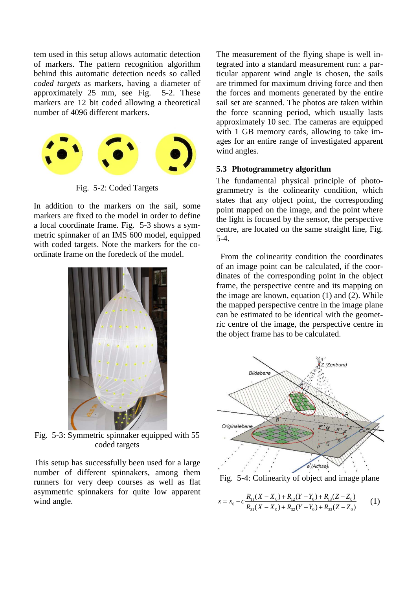tem used in this setup allows automatic detection of markers. The pattern recognition algorithm behind this automatic detection needs so called *coded targets* as markers, having a diameter of approximately 25 mm, see [Fig. 5-2.](#page-3-0) These markers are 12 bit coded allowing a theoretical number of 4096 different markers.



Fig. 5-2: Coded Targets

<span id="page-3-0"></span>In addition to the markers on the sail, some markers are fixed to the model in order to define a local coordinate frame. [Fig. 5-3](#page-3-1) shows a symmetric spinnaker of an IMS 600 model, equipped with coded targets. Note the markers for the coordinate frame on the foredeck of the model.



Fig. 5-3: Symmetric spinnaker equipped with 55 coded targets

<span id="page-3-1"></span>This setup has successfully been used for a large number of different spinnakers, among them runners for very deep courses as well as flat asymmetric spinnakers for quite low apparent wind angle.

The measurement of the flying shape is well integrated into a standard measurement run: a particular apparent wind angle is chosen, the sails are trimmed for maximum driving force and then the forces and moments generated by the entire sail set are scanned. The photos are taken within the force scanning period, which usually lasts approximately 10 sec. The cameras are equipped with 1 GB memory cards, allowing to take images for an entire range of investigated apparent wind angles.

### **5.3 Photogrammetry algorithm**

The fundamental physical principle of photogrammetry is the colinearity condition, which states that any object point, the corresponding point mapped on the image, and the point where the light is focused by the sensor, the perspective centre, are located on the same straight line, [Fig.](#page-3-2)  [5-4.](#page-3-2)

 From the colinearity condition the coordinates of an image point can be calculated, if the coordinates of the corresponding point in the object frame, the perspective centre and its mapping on the image are known, equation (1) and (2). While the mapped perspective centre in the image plane can be estimated to be identical with the geometric centre of the image, the perspective centre in the object frame has to be calculated.



<span id="page-3-2"></span>Fig. 5-4: Colinearity of object and image plane

$$
x = x_0 - c \frac{R_{11}(X - X_0) + R_{12}(Y - Y_0) + R_{13}(Z - Z_0)}{R_{31}(X - X_0) + R_{32}(Y - Y_0) + R_{33}(Z - Z_0)}
$$
(1)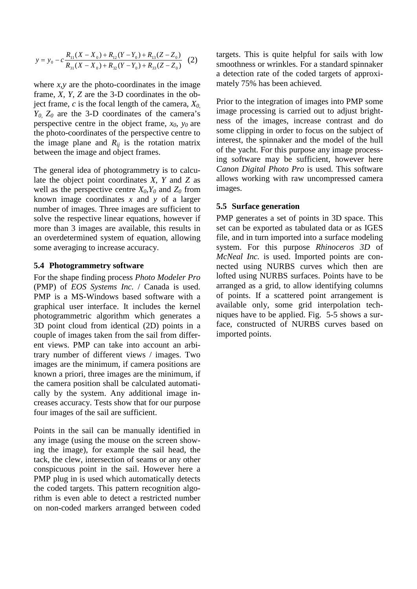$$
y = y_0 - c \frac{R_{11}(X - X_0) + R_{12}(Y - Y_0) + R_{13}(Z - Z_0)}{R_{31}(X - X_0) + R_{32}(Y - Y_0) + R_{33}(Z - Z_0)}
$$
 (2)

where  $x, y$  are the photo-coordinates in the image frame, *X, Y, Z* are the 3-D coordinates in the object frame,  $c$  is the focal length of the camera,  $X_{0}$ , *Y0, Z0* are the 3-D coordinates of the camera's perspective centre in the object frame,  $x_0$ ,  $y_0$  are the photo-coordinates of the perspective centre to the image plane and  $R_{ij}$  is the rotation matrix between the image and object frames.

The general idea of photogrammetry is to calculate the object point coordinates *X, Y* and *Z* as well as the perspective centre  $X_0, Y_0$  and  $Z_0$  from known image coordinates *x* and *y* of a larger number of images. Three images are sufficient to solve the respective linear equations, however if more than 3 images are available, this results in an overdetermined system of equation, allowing some averaging to increase accuracy.

#### **5.4 Photogrammetry software**

For the shape finding process *Photo Modeler Pro* (PMP) of *EOS Systems Inc.* / Canada is used. PMP is a MS-Windows based software with a graphical user interface. It includes the kernel photogrammetric algorithm which generates a 3D point cloud from identical (2D) points in a couple of images taken from the sail from different views. PMP can take into account an arbitrary number of different views / images. Two images are the minimum, if camera positions are known a priori, three images are the minimum, if the camera position shall be calculated automatically by the system. Any additional image increases accuracy. Tests show that for our purpose four images of the sail are sufficient.

Points in the sail can be manually identified in any image (using the mouse on the screen showing the image), for example the sail head, the tack, the clew, intersection of seams or any other conspicuous point in the sail. However here a PMP plug in is used which automatically detects the coded targets. This pattern recognition algorithm is even able to detect a restricted number on non-coded markers arranged between coded

targets. This is quite helpful for sails with low smoothness or wrinkles. For a standard spinnaker a detection rate of the coded targets of approximately 75% has been achieved.

Prior to the integration of images into PMP some image processing is carried out to adjust brightness of the images, increase contrast and do some clipping in order to focus on the subject of interest, the spinnaker and the model of the hull of the yacht. For this purpose any image processing software may be sufficient, however here *Canon Digital Photo Pro* is used. This software allows working with raw uncompressed camera images.

#### **5.5 Surface generation**

PMP generates a set of points in 3D space. This set can be exported as tabulated data or as IGES file, and in turn imported into a surface modeling system. For this purpose *Rhinoceros 3D* of *McNeal Inc.* is used. Imported points are connected using NURBS curves which then are lofted using NURBS surfaces. Points have to be arranged as a grid, to allow identifying columns of points. If a scattered point arrangement is available only, some grid interpolation techniques have to be applied. [Fig. 5-5](#page-5-0) shows a surface, constructed of NURBS curves based on imported points.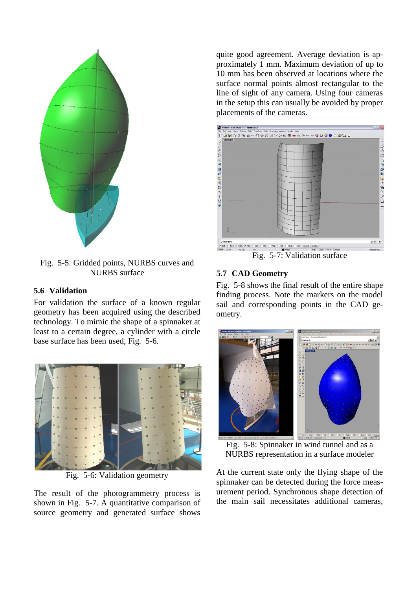

<span id="page-5-0"></span>Fig. 5-5: Gridded points, NURBS curves and NURBS surface

### **5.6 Validation**

For validation the surface of a known regular geometry has been acquired using the described technology. To mimic the shape of a spinnaker at least to a certain degree, a cylinder with a circle base surface has been used, [Fig. 5-6.](#page-5-1)



Fig. 5-6: Validation geometry

<span id="page-5-1"></span>The result of the photogrammetry process is shown in [Fig. 5-7.](#page-5-2) A quantitative comparison of source geometry and generated surface shows

quite good agreement. Average deviation is approximately 1 mm. Maximum deviation of up to 10 mm has been observed at locations where the surface normal points almost rectangular to the line of sight of any camera. Using four cameras in the setup this can usually be avoided by proper placements of the cameras.



Fig. 5-7: Validation surface

## <span id="page-5-2"></span>**5.7 CAD Geometry**

[Fig. 5-8](#page-5-3) shows the final result of the entire shape finding process. Note the markers on the model sail and corresponding points in the CAD geometry.



Fig. 5-8: Spinnaker in wind tunnel and as a NURBS representation in a surface modeler

<span id="page-5-3"></span>At the current state only the flying shape of the spinnaker can be detected during the force measurement period. Synchronous shape detection of the main sail necessitates additional cameras,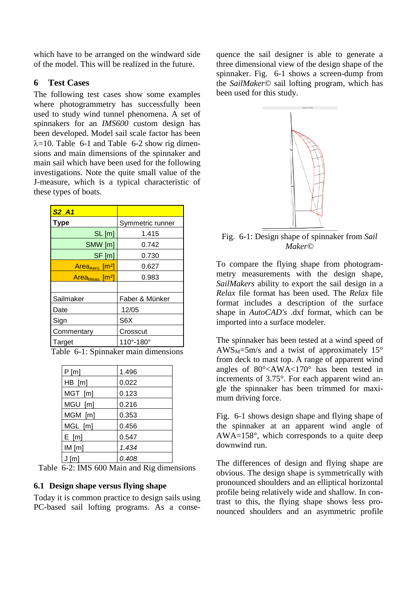which have to be arranged on the windward side of the model. This will be realized in the future.

### **6 Test Cases**

The following test cases show some examples where photogrammetry has successfully been used to study wind tunnel phenomena. A set of spinnakers for an *IMS600* custom design has been developed. Model sail scale factor has been  $\lambda$ =10. [Table 6-1](#page-6-0) and [Table 6-2](#page-6-1) show rig dimensions and main dimensions of the spinnaker and main sail which have been used for the following investigations. Note the quite small value of the J-measure, which is a typical characteristic of these types of boats.

| $S2$ $A1$                        |                             |
|----------------------------------|-----------------------------|
| Type                             | Symmetric runner            |
| SL[m]                            | 1.415                       |
| SMW [m]                          | 0.742                       |
| $SF$ [m]                         | 0.730                       |
| $Area_{Aero.}$ [m <sup>2</sup> ] | 0.627                       |
| $Area_{Meas.}$ [m <sup>2</sup> ] | 0.983                       |
|                                  |                             |
| Sailmaker                        | Faber & Münker              |
| Date                             | 12/05                       |
| Sign                             | S6X                         |
| Commentary                       | Crosscut                    |
| Target                           | $110^{\circ} - 180^{\circ}$ |

<span id="page-6-0"></span>Table 6-1: Spinnaker main dimensions

| P[m]    | 1.496 |
|---------|-------|
| HB [m]  | 0.022 |
| MGT [m] | 0.123 |
| MGU [m] | 0.216 |
| MGM [m] | 0.353 |
| MGL [m] | 0.456 |
| E[m]    | 0.547 |
| IM[m]   | 1.434 |
| J [m]   | 0.408 |

<span id="page-6-1"></span>Table 6-2: IMS 600 Main and Rig dimensions

#### **6.1 Design shape versus flying shape**

Today it is common practice to design sails using PC-based sail lofting programs. As a consequence the sail designer is able to generate a three dimensional view of the design shape of the spinnaker. [Fig. 6-1](#page-6-2) shows a screen-dump from the *SailMaker©* sail lofting program, which has been used for this study.



<span id="page-6-2"></span>Fig. 6-1: Design shape of spinnaker from *Sail Maker©*

To compare the flying shape from photogrammetry measurements with the design shape, *SailMakers* ability to export the sail design in a *Relax* file format has been used. The *Relax* file format includes a description of the surface shape in *AutoCAD's* .dxf format, which can be imported into a surface modeler.

The spinnaker has been tested at a wind speed of  $AWS_M = 5m/s$  and a twist of approximately 15 $\degree$ from deck to mast top. A range of apparent wind angles of 80°<AWA<170° has been tested in increments of 3.75°. For each apparent wind angle the spinnaker has been trimmed for maximum driving force.

[Fig. 6-1](#page-6-2) shows design shape and flying shape of the spinnaker at an apparent wind angle of AWA=158°, which corresponds to a quite deep downwind run.

The differences of design and flying shape are obvious. The design shape is symmetrically with pronounced shoulders and an elliptical horizontal profile being relatively wide and shallow. In contrast to this, the flying shape shows less pronounced shoulders and an asymmetric profile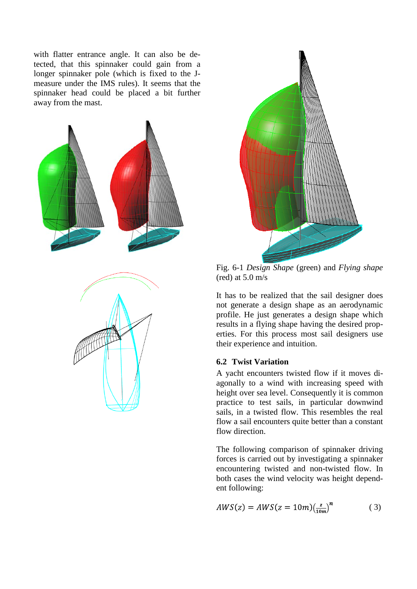with flatter entrance angle. It can also be detected, that this spinnaker could gain from a longer spinnaker pole (which is fixed to the Jmeasure under the IMS rules). It seems that the spinnaker head could be placed a bit further away from the mast.





Fig. 6-1 *Design Shape* (green) and *Flying shape* (red) at  $5.0 \text{ m/s}$ 

It has to be realized that the sail designer does not generate a design shape as an aerodynamic profile. He just generates a design shape which results in a flying shape having the desired properties. For this process most sail designers use their experience and intuition.

#### **6.2 Twist Variation**

A yacht encounters twisted flow if it moves diagonally to a wind with increasing speed with height over sea level. Consequently it is common practice to test sails, in particular downwind sails, in a twisted flow. This resembles the real flow a sail encounters quite better than a constant flow direction.

The following comparison of spinnaker driving forces is carried out by investigating a spinnaker encountering twisted and non-twisted flow. In both cases the wind velocity was height dependent following:

$$
AWS(z) = AWS(z = 10m)(\frac{z}{10m})^n
$$
 (3)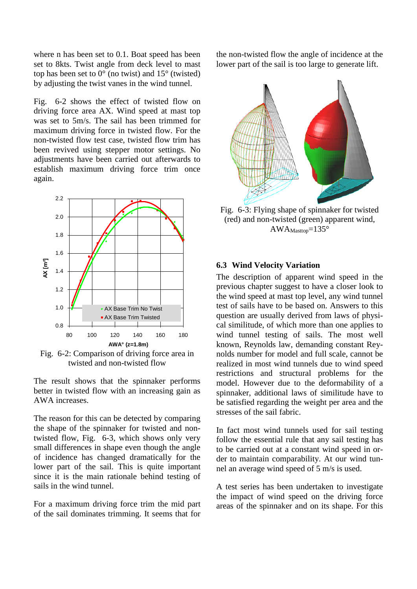where n has been set to 0.1. Boat speed has been set to 8kts. Twist angle from deck level to mast top has been set to  $0^{\circ}$  (no twist) and  $15^{\circ}$  (twisted) by adjusting the twist vanes in the wind tunnel.

[Fig. 6-2](#page-8-0) shows the effect of twisted flow on driving force area AX. Wind speed at mast top was set to 5m/s. The sail has been trimmed for maximum driving force in twisted flow. For the non-twisted flow test case, twisted flow trim has been revived using stepper motor settings. No adjustments have been carried out afterwards to establish maximum driving force trim once again.



<span id="page-8-0"></span>Fig. 6-2: Comparison of driving force area in twisted and non-twisted flow

The result shows that the spinnaker performs better in twisted flow with an increasing gain as AWA increases.

The reason for this can be detected by comparing the shape of the spinnaker for twisted and non-twisted flow, [Fig. 6-3,](#page-8-1) which shows only very small differences in shape even though the angle of incidence has changed dramatically for the lower part of the sail. This is quite important since it is the main rationale behind testing of sails in the wind tunnel.

For a maximum driving force trim the mid part of the sail dominates trimming. It seems that for

the non-twisted flow the angle of incidence at the lower part of the sail is too large to generate lift.



<span id="page-8-1"></span>Fig. 6-3: Flying shape of spinnaker for twisted (red) and non-twisted (green) apparent wind,  $AWA_{Masttop}=135^{\circ}$ 

#### **6.3 Wind Velocity Variation**

The description of apparent wind speed in the previous chapter suggest to have a closer look to the wind speed at mast top level, any wind tunnel test of sails have to be based on. Answers to this question are usually derived from laws of physical similitude, of which more than one applies to wind tunnel testing of sails. The most well known, Reynolds law, demanding constant Reynolds number for model and full scale, cannot be realized in most wind tunnels due to wind speed restrictions and structural problems for the model. However due to the deformability of a spinnaker, additional laws of similitude have to be satisfied regarding the weight per area and the stresses of the sail fabric.

In fact most wind tunnels used for sail testing follow the essential rule that any sail testing has to be carried out at a constant wind speed in order to maintain comparability. At our wind tunnel an average wind speed of 5 m/s is used.

A test series has been undertaken to investigate the impact of wind speed on the driving force areas of the spinnaker and on its shape. For this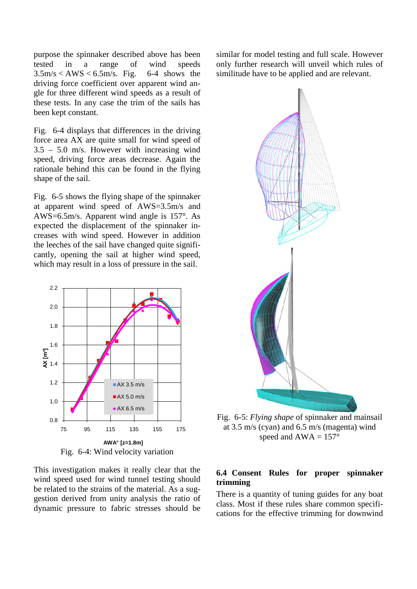purpose the spinnaker described above has been tested in a range of wind speeds<br> $3.5 \text{m/s} < \text{AWS} < 6.5 \text{m/s}$ . Fig. 6-4 shows the  $3.5 \text{m/s} < AWS < 6.5 \text{m/s}$ . Fig. driving force coefficient over apparent wind angle for three different wind speeds as a result of these tests. In any case the trim of the sails has been kept constant.

[Fig. 6-4](#page-9-0) displays that differences in the driving force area AX are quite small for wind speed of 3.5 – 5.0 m/s. However with increasing wind speed, driving force areas decrease. Again the rationale behind this can be found in the flying shape of the sail.

[Fig. 6-5](#page-9-1) shows the flying shape of the spinnaker at apparent wind speed of AWS=3.5m/s and AWS=6.5m/s. Apparent wind angle is 157°. As expected the displacement of the spinnaker increases with wind speed. However in addition the leeches of the sail have changed quite significantly, opening the sail at higher wind speed, which may result in a loss of pressure in the sail.



<span id="page-9-0"></span>This investigation makes it really clear that the wind speed used for wind tunnel testing should be related to the strains of the material. As a suggestion derived from unity analysis the ratio of dynamic pressure to fabric stresses should be similar for model testing and full scale. However only further research will unveil which rules of similitude have to be applied and are relevant.



<span id="page-9-1"></span>Fig. 6-5: *Flying shape* of spinnaker and mainsail at 3.5 m/s (cyan) and 6.5 m/s (magenta) wind speed and  $AWA = 157^\circ$ 

#### **6.4 Consent Rules for proper spinnaker trimming**

There is a quantity of tuning guides for any boat class. Most if these rules share common specifications for the effective trimming for downwind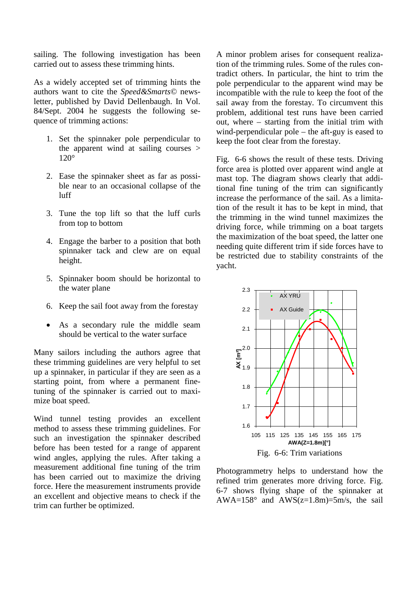sailing. The following investigation has been carried out to assess these trimming hints.

As a widely accepted set of trimming hints the authors want to cite the *Speed&Smarts©* newsletter, published by David Dellenbaugh. In Vol. 84/Sept. 2004 he suggests the following sequence of trimming actions:

- 1. Set the spinnaker pole perpendicular to the apparent wind at sailing courses > 120°
- 2. Ease the spinnaker sheet as far as possible near to an occasional collapse of the luff
- 3. Tune the top lift so that the luff curls from top to bottom
- 4. Engage the barber to a position that both spinnaker tack and clew are on equal height.
- 5. Spinnaker boom should be horizontal to the water plane
- 6. Keep the sail foot away from the forestay
- As a secondary rule the middle seam should be vertical to the water surface

Many sailors including the authors agree that these trimming guidelines are very helpful to set up a spinnaker, in particular if they are seen as a starting point, from where a permanent finetuning of the spinnaker is carried out to maximize boat speed.

Wind tunnel testing provides an excellent method to assess these trimming guidelines. For such an investigation the spinnaker described before has been tested for a range of apparent wind angles, applying the rules. After taking a measurement additional fine tuning of the trim has been carried out to maximize the driving force. Here the measurement instruments provide an excellent and objective means to check if the trim can further be optimized.

A minor problem arises for consequent realization of the trimming rules. Some of the rules contradict others. In particular, the hint to trim the pole perpendicular to the apparent wind may be incompatible with the rule to keep the foot of the sail away from the forestay. To circumvent this problem, additional test runs have been carried out, where – starting from the initial trim with wind-perpendicular pole – the aft-guy is eased to keep the foot clear from the forestay.

[Fig. 6-6](#page-10-0) shows the result of these tests. Driving force area is plotted over apparent wind angle at mast top. The diagram shows clearly that additional fine tuning of the trim can significantly increase the performance of the sail. As a limitation of the result it has to be kept in mind, that the trimming in the wind tunnel maximizes the driving force, while trimming on a boat targets the maximization of the boat speed, the latter one needing quite different trim if side forces have to be restricted due to stability constraints of the yacht.



<span id="page-10-0"></span>Photogrammetry helps to understand how the refined trim generates more driving force. [Fig.](#page-11-0)  [6-7](#page-11-0) shows flying shape of the spinnaker at AWA= $158^\circ$  and AWS(z= $1.8$ m)= $5$ m/s, the sail